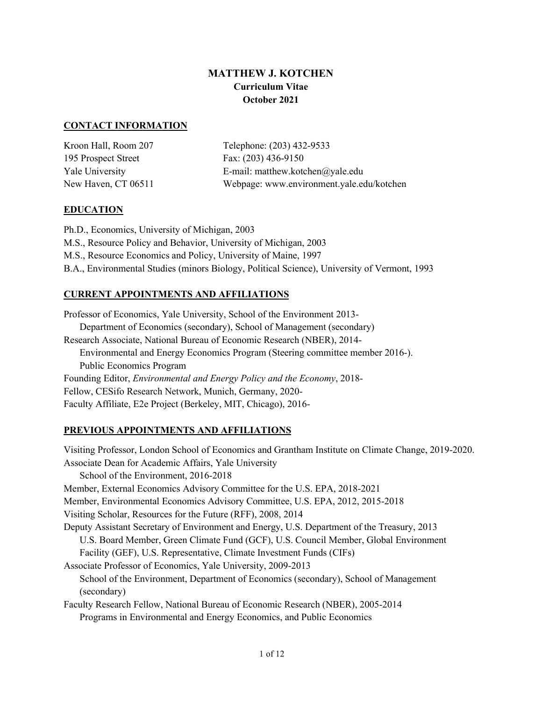# **MATTHEW J. KOTCHEN Curriculum Vitae October 2021**

#### **CONTACT INFORMATION**

| Kroon Hall, Room 207 | Telephone: (203) 432-9533                 |
|----------------------|-------------------------------------------|
| 195 Prospect Street  | Fax: $(203)$ 436-9150                     |
| Yale University      | E-mail: matthew.kotchen@yale.edu          |
| New Haven, CT 06511  | Webpage: www.environment.yale.edu/kotchen |

#### **EDUCATION**

Ph.D., Economics, University of Michigan, 2003 M.S., Resource Policy and Behavior, University of Michigan, 2003 M.S., Resource Economics and Policy, University of Maine, 1997 B.A., Environmental Studies (minors Biology, Political Science), University of Vermont, 1993

## **CURRENT APPOINTMENTS AND AFFILIATIONS**

Professor of Economics, Yale University, School of the Environment 2013- Department of Economics (secondary), School of Management (secondary) Research Associate, National Bureau of Economic Research (NBER), 2014- Environmental and Energy Economics Program (Steering committee member 2016-). Public Economics Program Founding Editor, *Environmental and Energy Policy and the Economy*, 2018- Fellow, CESifo Research Network, Munich, Germany, 2020- Faculty Affiliate, E2e Project (Berkeley, MIT, Chicago), 2016-

## **PREVIOUS APPOINTMENTS AND AFFILIATIONS**

Visiting Professor, London School of Economics and Grantham Institute on Climate Change, 2019-2020. Associate Dean for Academic Affairs, Yale University School of the Environment, 2016-2018 Member, External Economics Advisory Committee for the U.S. EPA, 2018-2021 Member, Environmental Economics Advisory Committee, U.S. EPA, 2012, 2015-2018 Visiting Scholar, Resources for the Future (RFF), 2008, 2014 Deputy Assistant Secretary of Environment and Energy, U.S. Department of the Treasury, 2013 U.S. Board Member, Green Climate Fund (GCF), U.S. Council Member, Global Environment Facility (GEF), U.S. Representative, Climate Investment Funds (CIFs) Associate Professor of Economics, Yale University, 2009-2013 School of the Environment, Department of Economics (secondary), School of Management (secondary) Faculty Research Fellow, National Bureau of Economic Research (NBER), 2005-2014 Programs in Environmental and Energy Economics, and Public Economics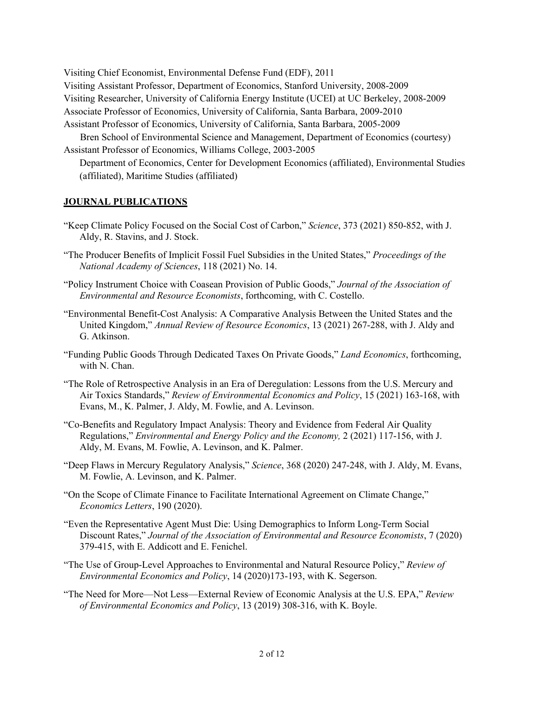Visiting Chief Economist, Environmental Defense Fund (EDF), 2011 Visiting Assistant Professor, Department of Economics, Stanford University, 2008-2009 Visiting Researcher, University of California Energy Institute (UCEI) at UC Berkeley, 2008-2009 Associate Professor of Economics, University of California, Santa Barbara, 2009-2010 Assistant Professor of Economics, University of California, Santa Barbara, 2005-2009 Bren School of Environmental Science and Management, Department of Economics (courtesy)

Assistant Professor of Economics, Williams College, 2003-2005 Department of Economics, Center for Development Economics (affiliated), Environmental Studies

(affiliated), Maritime Studies (affiliated)

#### **JOURNAL PUBLICATIONS**

- "Keep Climate Policy Focused on the Social Cost of Carbon," *Science*, 373 (2021) 850-852, with J. Aldy, R. Stavins, and J. Stock.
- "The Producer Benefits of Implicit Fossil Fuel Subsidies in the United States," *Proceedings of the National Academy of Sciences*, 118 (2021) No. 14.
- "Policy Instrument Choice with Coasean Provision of Public Goods," *Journal of the Association of Environmental and Resource Economists*, forthcoming, with C. Costello.
- "Environmental Benefit-Cost Analysis: A Comparative Analysis Between the United States and the United Kingdom," *Annual Review of Resource Economics*, 13 (2021) 267-288, with J. Aldy and G. Atkinson.
- "Funding Public Goods Through Dedicated Taxes On Private Goods," *Land Economics*, forthcoming, with N. Chan.
- "The Role of Retrospective Analysis in an Era of Deregulation: Lessons from the U.S. Mercury and Air Toxics Standards," *Review of Environmental Economics and Policy*, 15 (2021) 163-168, with Evans, M., K. Palmer, J. Aldy, M. Fowlie, and A. Levinson.
- "Co-Benefits and Regulatory Impact Analysis: Theory and Evidence from Federal Air Quality Regulations," *Environmental and Energy Policy and the Economy,* 2 (2021) 117-156, with J. Aldy, M. Evans, M. Fowlie, A. Levinson, and K. Palmer.
- "Deep Flaws in Mercury Regulatory Analysis," *Science*, 368 (2020) 247-248, with J. Aldy, M. Evans, M. Fowlie, A. Levinson, and K. Palmer.
- "On the Scope of Climate Finance to Facilitate International Agreement on Climate Change," *Economics Letters*, 190 (2020).
- "Even the Representative Agent Must Die: Using Demographics to Inform Long-Term Social Discount Rates," *Journal of the Association of Environmental and Resource Economists*, 7 (2020) 379-415, with E. Addicott and E. Fenichel.
- "The Use of Group-Level Approaches to Environmental and Natural Resource Policy," *Review of Environmental Economics and Policy*, 14 (2020)173-193, with K. Segerson.
- "The Need for More—Not Less—External Review of Economic Analysis at the U.S. EPA," *Review of Environmental Economics and Policy*, 13 (2019) 308-316, with K. Boyle.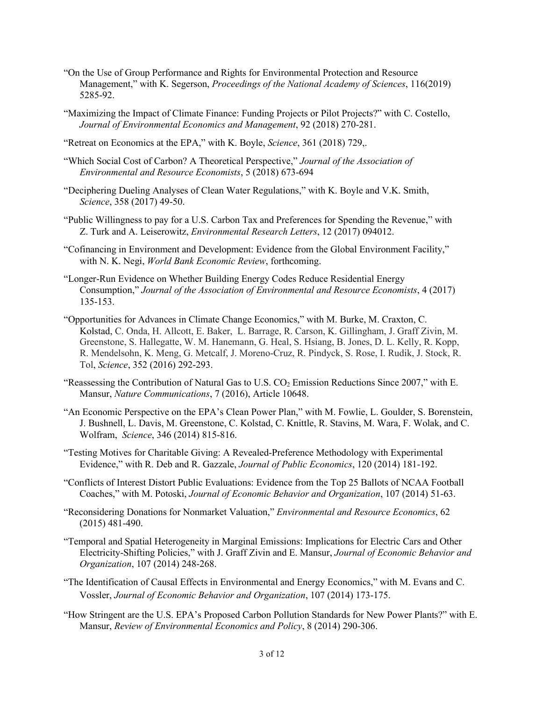- "On the Use of Group Performance and Rights for Environmental Protection and Resource Management," with K. Segerson, *Proceedings of the National Academy of Sciences*, 116(2019) 5285-92.
- "Maximizing the Impact of Climate Finance: Funding Projects or Pilot Projects?" with C. Costello, *Journal of Environmental Economics and Management*, 92 (2018) 270-281.
- "Retreat on Economics at the EPA," with K. Boyle, *Science*, 361 (2018) 729,.
- "Which Social Cost of Carbon? A Theoretical Perspective," *Journal of the Association of Environmental and Resource Economists*, 5 (2018) 673-694
- "Deciphering Dueling Analyses of Clean Water Regulations," with K. Boyle and V.K. Smith, *Science*, 358 (2017) 49-50.
- "Public Willingness to pay for a U.S. Carbon Tax and Preferences for Spending the Revenue," with Z. Turk and A. Leiserowitz, *Environmental Research Letters*, 12 (2017) 094012.
- "Cofinancing in Environment and Development: Evidence from the Global Environment Facility," with N. K. Negi, *World Bank Economic Review*, forthcoming.
- "Longer-Run Evidence on Whether Building Energy Codes Reduce Residential Energy Consumption," *Journal of the Association of Environmental and Resource Economists*, 4 (2017) 135-153.
- "Opportunities for Advances in Climate Change Economics," with M. Burke, M. Craxton, C. Kolstad, C. Onda, H. Allcott, E. Baker, L. Barrage, R. Carson, K. Gillingham, J. Graff Zivin, M. Greenstone, S. Hallegatte, W. M. Hanemann, G. Heal, S. Hsiang, B. Jones, D. L. Kelly, R. Kopp, R. Mendelsohn, K. Meng, G. Metcalf, J. Moreno-Cruz, R. Pindyck, S. Rose, I. Rudik, J. Stock, R. Tol, *Science*, 352 (2016) 292-293.
- "Reassessing the Contribution of Natural Gas to U.S. CO<sub>2</sub> Emission Reductions Since 2007," with E. Mansur, *Nature Communications*, 7 (2016), Article 10648.
- "An Economic Perspective on the EPA's Clean Power Plan," with M. Fowlie, L. Goulder, S. Borenstein, J. Bushnell, L. Davis, M. Greenstone, C. Kolstad, C. Knittle, R. Stavins, M. Wara, F. Wolak, and C. Wolfram, *Science*, 346 (2014) 815-816.
- "Testing Motives for Charitable Giving: A Revealed-Preference Methodology with Experimental Evidence," with R. Deb and R. Gazzale, *Journal of Public Economics*, 120 (2014) 181-192.
- "Conflicts of Interest Distort Public Evaluations: Evidence from the Top 25 Ballots of NCAA Football Coaches," with M. Potoski, *Journal of Economic Behavior and Organization*, 107 (2014) 51-63.
- "Reconsidering Donations for Nonmarket Valuation," *Environmental and Resource Economics*, 62 (2015) 481-490.
- "Temporal and Spatial Heterogeneity in Marginal Emissions: Implications for Electric Cars and Other Electricity-Shifting Policies," with J. Graff Zivin and E. Mansur, *Journal of Economic Behavior and Organization*, 107 (2014) 248-268.
- "The Identification of Causal Effects in Environmental and Energy Economics," with M. Evans and C. Vossler, *Journal of Economic Behavior and Organization*, 107 (2014) 173-175.
- "How Stringent are the U.S. EPA's Proposed Carbon Pollution Standards for New Power Plants?" with E. Mansur, *Review of Environmental Economics and Policy*, 8 (2014) 290-306.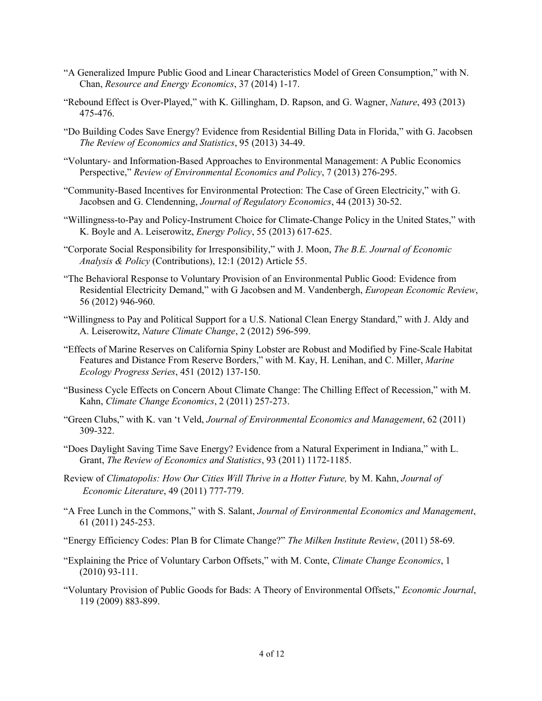- "A Generalized Impure Public Good and Linear Characteristics Model of Green Consumption," with N. Chan, *Resource and Energy Economics*, 37 (2014) 1-17.
- "Rebound Effect is Over-Played," with K. Gillingham, D. Rapson, and G. Wagner, *Nature*, 493 (2013) 475-476.
- "Do Building Codes Save Energy? Evidence from Residential Billing Data in Florida," with G. Jacobsen *The Review of Economics and Statistics*, 95 (2013) 34-49.
- "Voluntary- and Information-Based Approaches to Environmental Management: A Public Economics Perspective," *Review of Environmental Economics and Policy*, 7 (2013) 276-295.
- "Community-Based Incentives for Environmental Protection: The Case of Green Electricity," with G. Jacobsen and G. Clendenning, *Journal of Regulatory Economics*, 44 (2013) 30-52.
- "Willingness-to-Pay and Policy-Instrument Choice for Climate-Change Policy in the United States," with K. Boyle and A. Leiserowitz, *Energy Policy*, 55 (2013) 617-625.
- "Corporate Social Responsibility for Irresponsibility," with J. Moon, *The B.E. Journal of Economic Analysis & Policy* (Contributions), 12:1 (2012) Article 55.
- "The Behavioral Response to Voluntary Provision of an Environmental Public Good: Evidence from Residential Electricity Demand," with G Jacobsen and M. Vandenbergh, *European Economic Review*, 56 (2012) 946-960.
- "Willingness to Pay and Political Support for a U.S. National Clean Energy Standard," with J. Aldy and A. Leiserowitz, *Nature Climate Change*, 2 (2012) 596-599.
- "Effects of Marine Reserves on California Spiny Lobster are Robust and Modified by Fine-Scale Habitat Features and Distance From Reserve Borders," with M. Kay, H. Lenihan, and C. Miller, *Marine Ecology Progress Series*, 451 (2012) 137-150.
- "Business Cycle Effects on Concern About Climate Change: The Chilling Effect of Recession," with M. Kahn, *Climate Change Economics*, 2 (2011) 257-273.
- "Green Clubs," with K. van 't Veld, *Journal of Environmental Economics and Management*, 62 (2011) 309-322.
- "Does Daylight Saving Time Save Energy? Evidence from a Natural Experiment in Indiana," with L. Grant, *The Review of Economics and Statistics*, 93 (2011) 1172-1185.
- Review of *Climatopolis: How Our Cities Will Thrive in a Hotter Future,* by M. Kahn, *Journal of Economic Literature*, 49 (2011) 777-779.
- "A Free Lunch in the Commons," with S. Salant, *Journal of Environmental Economics and Management*, 61 (2011) 245-253.
- "Energy Efficiency Codes: Plan B for Climate Change?" *The Milken Institute Review*, (2011) 58-69.
- "Explaining the Price of Voluntary Carbon Offsets," with M. Conte, *Climate Change Economics*, 1 (2010) 93-111.
- "Voluntary Provision of Public Goods for Bads: A Theory of Environmental Offsets," *Economic Journal*, 119 (2009) 883-899.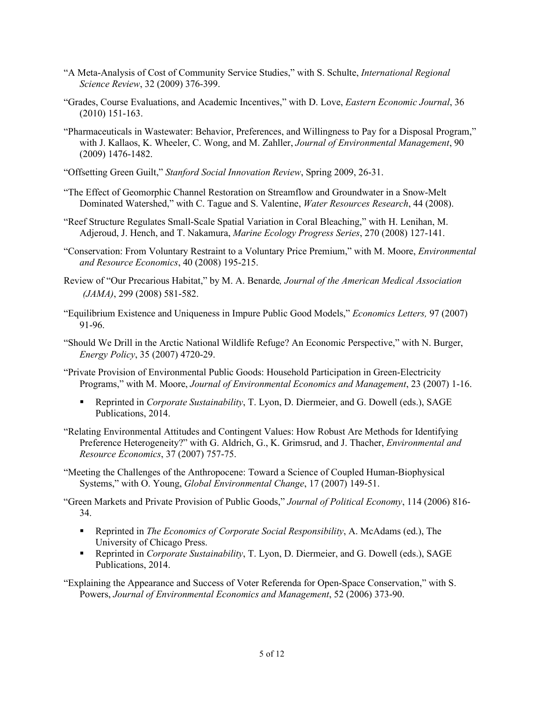- "A Meta-Analysis of Cost of Community Service Studies," with S. Schulte, *International Regional Science Review*, 32 (2009) 376-399.
- "Grades, Course Evaluations, and Academic Incentives," with D. Love, *Eastern Economic Journal*, 36 (2010) 151-163.
- "Pharmaceuticals in Wastewater: Behavior, Preferences, and Willingness to Pay for a Disposal Program," with J. Kallaos, K. Wheeler, C. Wong, and M. Zahller, *Journal of Environmental Management*, 90 (2009) 1476-1482.
- "Offsetting Green Guilt," *Stanford Social Innovation Review*, Spring 2009, 26-31.
- "The Effect of Geomorphic Channel Restoration on Streamflow and Groundwater in a Snow-Melt Dominated Watershed," with C. Tague and S. Valentine, *Water Resources Research*, 44 (2008).
- "Reef Structure Regulates Small-Scale Spatial Variation in Coral Bleaching," with H. Lenihan, M. Adjeroud, J. Hench, and T. Nakamura, *Marine Ecology Progress Series*, 270 (2008) 127-141.
- "Conservation: From Voluntary Restraint to a Voluntary Price Premium," with M. Moore, *Environmental and Resource Economics*, 40 (2008) 195-215.
- Review of "Our Precarious Habitat," by M. A. Benarde*, Journal of the American Medical Association (JAMA)*, 299 (2008) 581-582.
- "Equilibrium Existence and Uniqueness in Impure Public Good Models," *Economics Letters,* 97 (2007) 91-96.
- "Should We Drill in the Arctic National Wildlife Refuge? An Economic Perspective," with N. Burger, *Energy Policy*, 35 (2007) 4720-29.
- "Private Provision of Environmental Public Goods: Household Participation in Green-Electricity Programs," with M. Moore, *Journal of Environmental Economics and Management*, 23 (2007) 1-16.
	- Reprinted in *Corporate Sustainability*, T. Lyon, D. Diermeier, and G. Dowell (eds.), SAGE Publications, 2014.
- "Relating Environmental Attitudes and Contingent Values: How Robust Are Methods for Identifying Preference Heterogeneity?" with G. Aldrich, G., K. Grimsrud, and J. Thacher, *Environmental and Resource Economics*, 37 (2007) 757-75.
- "Meeting the Challenges of the Anthropocene: Toward a Science of Coupled Human-Biophysical Systems," with O. Young, *Global Environmental Change*, 17 (2007) 149-51.
- "Green Markets and Private Provision of Public Goods," *Journal of Political Economy*, 114 (2006) 816- 34.
	- Reprinted in *The Economics of Corporate Social Responsibility*, A. McAdams (ed.), The University of Chicago Press.
	- Reprinted in *Corporate Sustainability*, T. Lyon, D. Diermeier, and G. Dowell (eds.), SAGE Publications, 2014.
- "Explaining the Appearance and Success of Voter Referenda for Open-Space Conservation," with S. Powers, *Journal of Environmental Economics and Management*, 52 (2006) 373-90.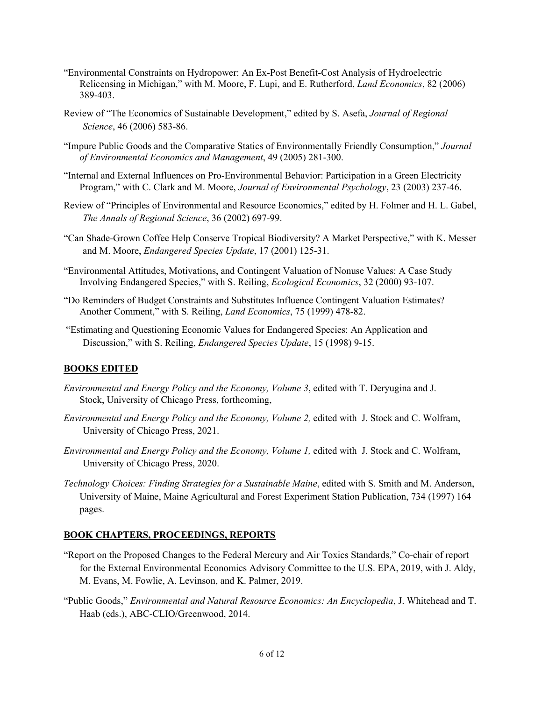- "Environmental Constraints on Hydropower: An Ex-Post Benefit-Cost Analysis of Hydroelectric Relicensing in Michigan," with M. Moore, F. Lupi, and E. Rutherford, *Land Economics*, 82 (2006) 389-403.
- Review of "The Economics of Sustainable Development," edited by S. Asefa, *Journal of Regional Science*, 46 (2006) 583-86.
- "Impure Public Goods and the Comparative Statics of Environmentally Friendly Consumption," *Journal of Environmental Economics and Management*, 49 (2005) 281-300.
- "Internal and External Influences on Pro-Environmental Behavior: Participation in a Green Electricity Program," with C. Clark and M. Moore, *Journal of Environmental Psychology*, 23 (2003) 237-46.
- Review of "Principles of Environmental and Resource Economics," edited by H. Folmer and H. L. Gabel, *The Annals of Regional Science*, 36 (2002) 697-99.
- "Can Shade-Grown Coffee Help Conserve Tropical Biodiversity? A Market Perspective," with K. Messer and M. Moore, *Endangered Species Update*, 17 (2001) 125-31.
- "Environmental Attitudes, Motivations, and Contingent Valuation of Nonuse Values: A Case Study Involving Endangered Species," with S. Reiling, *Ecological Economics*, 32 (2000) 93-107.
- "Do Reminders of Budget Constraints and Substitutes Influence Contingent Valuation Estimates? Another Comment," with S. Reiling, *Land Economics*, 75 (1999) 478-82.
- "Estimating and Questioning Economic Values for Endangered Species: An Application and Discussion," with S. Reiling, *Endangered Species Update*, 15 (1998) 9-15.

#### **BOOKS EDITED**

- *Environmental and Energy Policy and the Economy, Volume 3*, edited with T. Deryugina and J. Stock, University of Chicago Press, forthcoming,
- *Environmental and Energy Policy and the Economy, Volume 2,* edited with J. Stock and C. Wolfram, University of Chicago Press, 2021.
- *Environmental and Energy Policy and the Economy, Volume 1,* edited with J. Stock and C. Wolfram, University of Chicago Press, 2020.
- *Technology Choices: Finding Strategies for a Sustainable Maine*, edited with S. Smith and M. Anderson, University of Maine, Maine Agricultural and Forest Experiment Station Publication, 734 (1997) 164 pages.

#### **BOOK CHAPTERS, PROCEEDINGS, REPORTS**

- "Report on the Proposed Changes to the Federal Mercury and Air Toxics Standards," Co-chair of report for the External Environmental Economics Advisory Committee to the U.S. EPA, 2019, with J. Aldy, M. Evans, M. Fowlie, A. Levinson, and K. Palmer, 2019.
- "Public Goods," *Environmental and Natural Resource Economics: An Encyclopedia*, J. Whitehead and T. Haab (eds.), ABC-CLIO/Greenwood, 2014.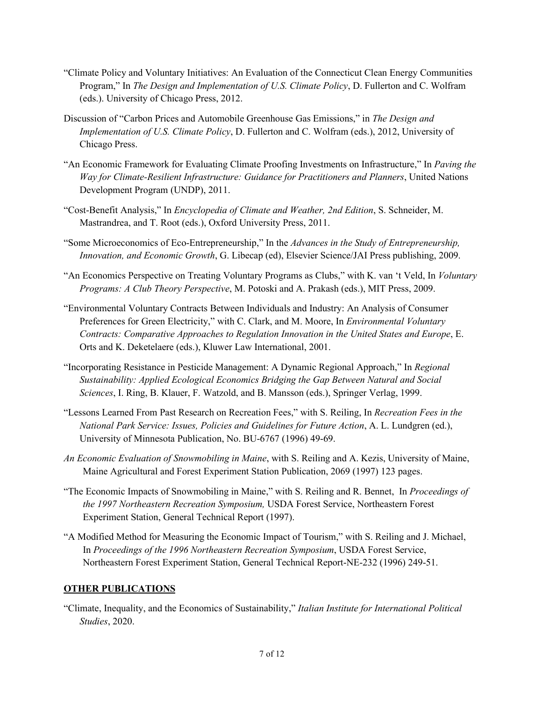- "Climate Policy and Voluntary Initiatives: An Evaluation of the Connecticut Clean Energy Communities Program," In *The Design and Implementation of U.S. Climate Policy*, D. Fullerton and C. Wolfram (eds.). University of Chicago Press, 2012.
- Discussion of "Carbon Prices and Automobile Greenhouse Gas Emissions," in *The Design and Implementation of U.S. Climate Policy*, D. Fullerton and C. Wolfram (eds.), 2012, University of Chicago Press.
- "An Economic Framework for Evaluating Climate Proofing Investments on Infrastructure," In *Paving the Way for Climate-Resilient Infrastructure: Guidance for Practitioners and Planners*, United Nations Development Program (UNDP), 2011.
- "Cost-Benefit Analysis," In *Encyclopedia of Climate and Weather, 2nd Edition*, S. Schneider, M. Mastrandrea, and T. Root (eds.), Oxford University Press, 2011.
- "Some Microeconomics of Eco-Entrepreneurship," In the *Advances in the Study of Entrepreneurship, Innovation, and Economic Growth*, G. Libecap (ed), Elsevier Science/JAI Press publishing, 2009.
- "An Economics Perspective on Treating Voluntary Programs as Clubs," with K. van 't Veld, In *Voluntary Programs: A Club Theory Perspective*, M. Potoski and A. Prakash (eds.), MIT Press, 2009.
- "Environmental Voluntary Contracts Between Individuals and Industry: An Analysis of Consumer Preferences for Green Electricity," with C. Clark, and M. Moore, In *Environmental Voluntary Contracts: Comparative Approaches to Regulation Innovation in the United States and Europe*, E. Orts and K. Deketelaere (eds.), Kluwer Law International, 2001.
- "Incorporating Resistance in Pesticide Management: A Dynamic Regional Approach," In *Regional Sustainability: Applied Ecological Economics Bridging the Gap Between Natural and Social Sciences*, I. Ring, B. Klauer, F. Watzold, and B. Mansson (eds.), Springer Verlag, 1999.
- "Lessons Learned From Past Research on Recreation Fees," with S. Reiling, In *Recreation Fees in the National Park Service: Issues, Policies and Guidelines for Future Action*, A. L. Lundgren (ed.), University of Minnesota Publication, No. BU-6767 (1996) 49-69.
- *An Economic Evaluation of Snowmobiling in Maine*, with S. Reiling and A. Kezis, University of Maine, Maine Agricultural and Forest Experiment Station Publication, 2069 (1997) 123 pages.
- "The Economic Impacts of Snowmobiling in Maine," with S. Reiling and R. Bennet, In *Proceedings of the 1997 Northeastern Recreation Symposium,* USDA Forest Service, Northeastern Forest Experiment Station, General Technical Report (1997).
- "A Modified Method for Measuring the Economic Impact of Tourism," with S. Reiling and J. Michael, In *Proceedings of the 1996 Northeastern Recreation Symposium*, USDA Forest Service, Northeastern Forest Experiment Station, General Technical Report-NE-232 (1996) 249-51.

## **OTHER PUBLICATIONS**

"Climate, Inequality, and the Economics of Sustainability," *Italian Institute for International Political Studies*, 2020.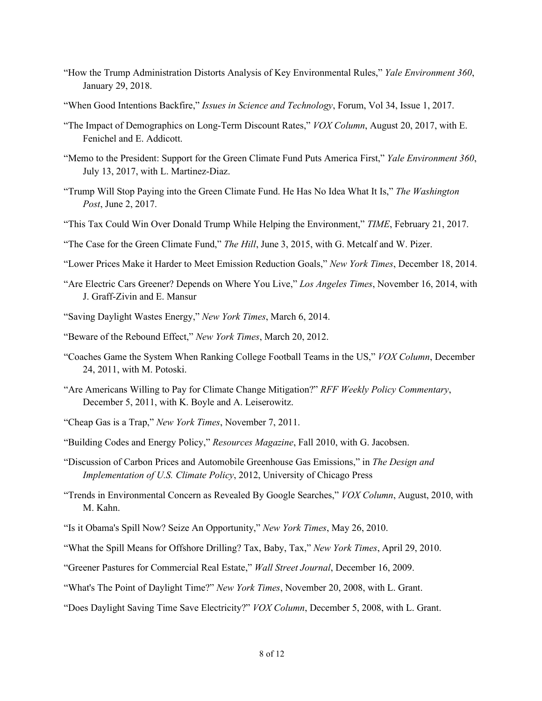- "How the Trump Administration Distorts Analysis of Key Environmental Rules," *Yale Environment 360*, January 29, 2018.
- "When Good Intentions Backfire," *Issues in Science and Technology*, Forum, Vol 34, Issue 1, 2017.
- "The Impact of Demographics on Long-Term Discount Rates," *VOX Column*, August 20, 2017, with E. Fenichel and E. Addicott.
- "Memo to the President: Support for the Green Climate Fund Puts America First," *Yale Environment 360*, July 13, 2017, with L. Martinez-Diaz.
- "Trump Will Stop Paying into the Green Climate Fund. He Has No Idea What It Is," *The Washington Post*, June 2, 2017.
- "This Tax Could Win Over Donald Trump While Helping the Environment," *TIME*, February 21, 2017.
- "The Case for the Green Climate Fund," *The Hill*, June 3, 2015, with G. Metcalf and W. Pizer.
- "Lower Prices Make it Harder to Meet Emission Reduction Goals," *New York Times*, December 18, 2014.
- "Are Electric Cars Greener? Depends on Where You Live," *Los Angeles Times*, November 16, 2014, with J. Graff-Zivin and E. Mansur
- "Saving Daylight Wastes Energy," *New York Times*, March 6, 2014.
- "Beware of the Rebound Effect," *New York Times*, March 20, 2012.
- "Coaches Game the System When Ranking College Football Teams in the US," *VOX Column*, December 24, 2011, with M. Potoski.
- "Are Americans Willing to Pay for Climate Change Mitigation?" *RFF Weekly Policy Commentary*, December 5, 2011, with K. Boyle and A. Leiserowitz.
- "Cheap Gas is a Trap," *New York Times*, November 7, 2011.
- "Building Codes and Energy Policy," *Resources Magazine*, Fall 2010, with G. Jacobsen.
- "Discussion of Carbon Prices and Automobile Greenhouse Gas Emissions," in *The Design and Implementation of U.S. Climate Policy*, 2012, University of Chicago Press
- "Trends in Environmental Concern as Revealed By Google Searches," *VOX Column*, August, 2010, with M. Kahn.
- "Is it Obama's Spill Now? Seize An Opportunity," *New York Times*, May 26, 2010.
- "What the Spill Means for Offshore Drilling? Tax, Baby, Tax," *New York Times*, April 29, 2010.
- "Greener Pastures for Commercial Real Estate," *Wall Street Journal*, December 16, 2009.
- "What's The Point of Daylight Time?" *New York Times*, November 20, 2008, with L. Grant.
- "Does Daylight Saving Time Save Electricity?" *VOX Column*, December 5, 2008, with L. Grant.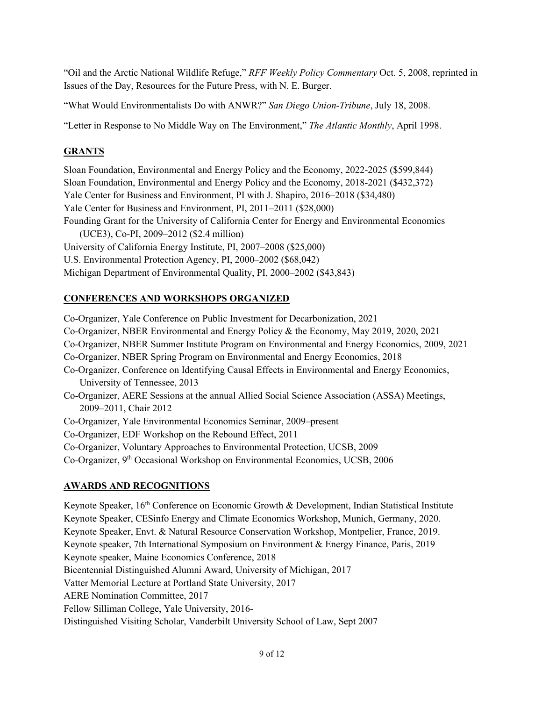"Oil and the Arctic National Wildlife Refuge," *RFF Weekly Policy Commentary* Oct. 5, 2008, reprinted in Issues of the Day, Resources for the Future Press, with N. E. Burger.

"What Would Environmentalists Do with ANWR?" *San Diego Union-Tribune*, July 18, 2008.

"Letter in Response to No Middle Way on The Environment," *The Atlantic Monthly*, April 1998.

#### **GRANTS**

Sloan Foundation, Environmental and Energy Policy and the Economy, 2022-2025 (\$599,844) Sloan Foundation, Environmental and Energy Policy and the Economy, 2018-2021 (\$432,372) Yale Center for Business and Environment, PI with J. Shapiro, 2016–2018 (\$34,480) Yale Center for Business and Environment, PI, 2011–2011 (\$28,000) Founding Grant for the University of California Center for Energy and Environmental Economics (UCE3), Co-PI, 2009–2012 (\$2.4 million) University of California Energy Institute, PI, 2007–2008 (\$25,000) U.S. Environmental Protection Agency, PI, 2000–2002 (\$68,042) Michigan Department of Environmental Quality, PI, 2000–2002 (\$43,843)

## **CONFERENCES AND WORKSHOPS ORGANIZED**

Co-Organizer, Yale Conference on Public Investment for Decarbonization, 2021 Co-Organizer, NBER Environmental and Energy Policy & the Economy, May 2019, 2020, 2021 Co-Organizer, NBER Summer Institute Program on Environmental and Energy Economics, 2009, 2021 Co-Organizer, NBER Spring Program on Environmental and Energy Economics, 2018 Co-Organizer, Conference on Identifying Causal Effects in Environmental and Energy Economics, University of Tennessee, 2013 Co-Organizer, AERE Sessions at the annual Allied Social Science Association (ASSA) Meetings, 2009–2011, Chair 2012 Co-Organizer, Yale Environmental Economics Seminar, 2009–present Co-Organizer, EDF Workshop on the Rebound Effect, 2011 Co-Organizer, Voluntary Approaches to Environmental Protection, UCSB, 2009 Co-Organizer, 9th Occasional Workshop on Environmental Economics, UCSB, 2006

## **AWARDS AND RECOGNITIONS**

Keynote Speaker, 16<sup>th</sup> Conference on Economic Growth & Development, Indian Statistical Institute Keynote Speaker, CESinfo Energy and Climate Economics Workshop, Munich, Germany, 2020. Keynote Speaker, Envt. & Natural Resource Conservation Workshop, Montpelier, France, 2019. Keynote speaker, 7th International Symposium on Environment & Energy Finance, Paris, 2019 Keynote speaker, Maine Economics Conference, 2018 Bicentennial Distinguished Alumni Award, University of Michigan, 2017 Vatter Memorial Lecture at Portland State University, 2017 AERE Nomination Committee, 2017 Fellow Silliman College, Yale University, 2016- Distinguished Visiting Scholar, Vanderbilt University School of Law, Sept 2007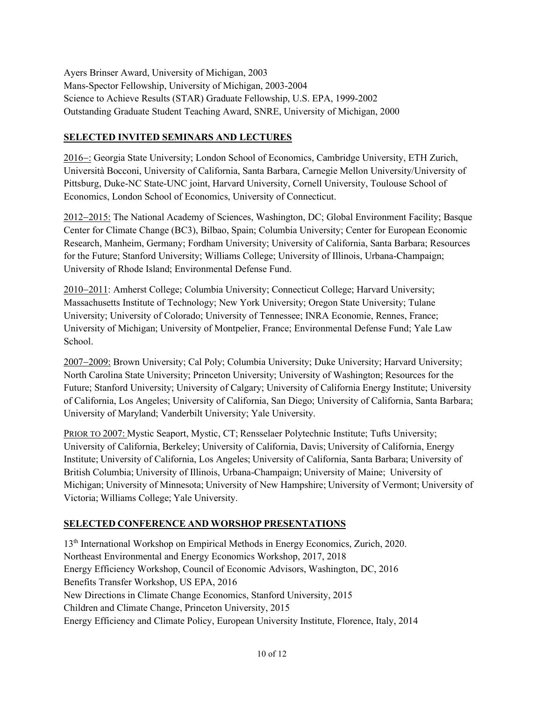Ayers Brinser Award, University of Michigan, 2003 Mans-Spector Fellowship, University of Michigan, 2003-2004 Science to Achieve Results (STAR) Graduate Fellowship, U.S. EPA, 1999-2002 Outstanding Graduate Student Teaching Award, SNRE, University of Michigan, 2000

## **SELECTED INVITED SEMINARS AND LECTURES**

2016−: Georgia State University; London School of Economics, Cambridge University, ETH Zurich, Università Bocconi, University of California, Santa Barbara, Carnegie Mellon University/University of Pittsburg, Duke-NC State-UNC joint, Harvard University, Cornell University, Toulouse School of Economics, London School of Economics, University of Connecticut.

2012−2015: The National Academy of Sciences, Washington, DC; Global Environment Facility; Basque Center for Climate Change (BC3), Bilbao, Spain; Columbia University; Center for European Economic Research, Manheim, Germany; Fordham University; University of California, Santa Barbara; Resources for the Future; Stanford University; Williams College; University of Illinois, Urbana-Champaign; University of Rhode Island; Environmental Defense Fund.

2010−2011: Amherst College; Columbia University; Connecticut College; Harvard University; Massachusetts Institute of Technology; New York University; Oregon State University; Tulane University; University of Colorado; University of Tennessee; INRA Economie, Rennes, France; University of Michigan; University of Montpelier, France; Environmental Defense Fund; Yale Law School.

2007−2009: Brown University; Cal Poly; Columbia University; Duke University; Harvard University; North Carolina State University; Princeton University; University of Washington; Resources for the Future; Stanford University; University of Calgary; University of California Energy Institute; University of California, Los Angeles; University of California, San Diego; University of California, Santa Barbara; University of Maryland; Vanderbilt University; Yale University.

PRIOR TO 2007: Mystic Seaport, Mystic, CT; Rensselaer Polytechnic Institute; Tufts University; University of California, Berkeley; University of California, Davis; University of California, Energy Institute; University of California, Los Angeles; University of California, Santa Barbara; University of British Columbia; University of Illinois, Urbana-Champaign; University of Maine; University of Michigan; University of Minnesota; University of New Hampshire; University of Vermont; University of Victoria; Williams College; Yale University.

# **SELECTED CONFERENCE AND WORSHOP PRESENTATIONS**

13th International Workshop on Empirical Methods in Energy Economics, Zurich, 2020. Northeast Environmental and Energy Economics Workshop, 2017, 2018 Energy Efficiency Workshop, Council of Economic Advisors, Washington, DC, 2016 Benefits Transfer Workshop, US EPA, 2016 New Directions in Climate Change Economics, Stanford University, 2015 Children and Climate Change, Princeton University, 2015 Energy Efficiency and Climate Policy, European University Institute, Florence, Italy, 2014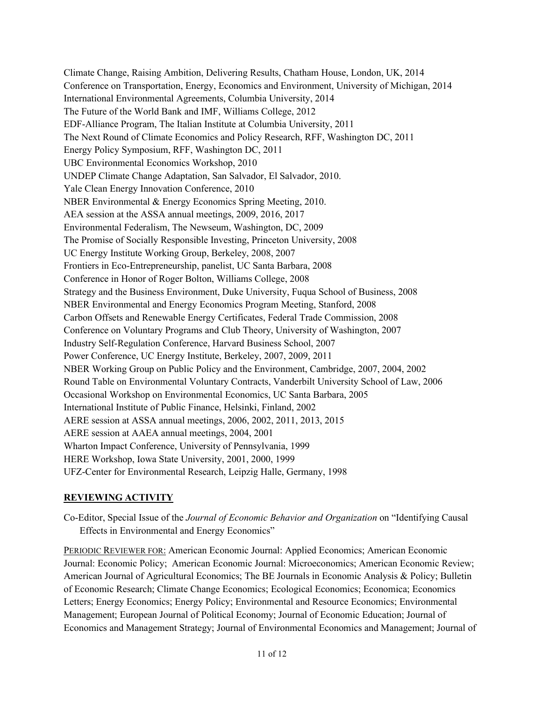Climate Change, Raising Ambition, Delivering Results, Chatham House, London, UK, 2014 Conference on Transportation, Energy, Economics and Environment, University of Michigan, 2014 International Environmental Agreements, Columbia University, 2014 The Future of the World Bank and IMF, Williams College, 2012 EDF-Alliance Program, The Italian Institute at Columbia University, 2011 The Next Round of Climate Economics and Policy Research, RFF, Washington DC, 2011 Energy Policy Symposium, RFF, Washington DC, 2011 UBC Environmental Economics Workshop, 2010 UNDEP Climate Change Adaptation, San Salvador, El Salvador, 2010. Yale Clean Energy Innovation Conference, 2010 NBER Environmental & Energy Economics Spring Meeting, 2010. AEA session at the ASSA annual meetings, 2009, 2016, 2017 Environmental Federalism, The Newseum, Washington, DC, 2009 The Promise of Socially Responsible Investing, Princeton University, 2008 UC Energy Institute Working Group, Berkeley, 2008, 2007 Frontiers in Eco-Entrepreneurship, panelist, UC Santa Barbara, 2008 Conference in Honor of Roger Bolton, Williams College, 2008 Strategy and the Business Environment, Duke University, Fuqua School of Business, 2008 NBER Environmental and Energy Economics Program Meeting, Stanford, 2008 Carbon Offsets and Renewable Energy Certificates, Federal Trade Commission, 2008 Conference on Voluntary Programs and Club Theory, University of Washington, 2007 Industry Self-Regulation Conference, Harvard Business School, 2007 Power Conference, UC Energy Institute, Berkeley, 2007, 2009, 2011 NBER Working Group on Public Policy and the Environment, Cambridge, 2007, 2004, 2002 Round Table on Environmental Voluntary Contracts, Vanderbilt University School of Law, 2006 Occasional Workshop on Environmental Economics, UC Santa Barbara, 2005 International Institute of Public Finance, Helsinki, Finland, 2002 AERE session at ASSA annual meetings, 2006, 2002, 2011, 2013, 2015 AERE session at AAEA annual meetings, 2004, 2001 Wharton Impact Conference, University of Pennsylvania, 1999 HERE Workshop, Iowa State University, 2001, 2000, 1999 UFZ-Center for Environmental Research, Leipzig Halle, Germany, 1998

## **REVIEWING ACTIVITY**

Co-Editor, Special Issue of the *Journal of Economic Behavior and Organization* on "Identifying Causal Effects in Environmental and Energy Economics"

PERIODIC REVIEWER FOR: American Economic Journal: Applied Economics; American Economic Journal: Economic Policy; American Economic Journal: Microeconomics; American Economic Review; American Journal of Agricultural Economics; The BE Journals in Economic Analysis & Policy; Bulletin of Economic Research; Climate Change Economics; Ecological Economics; Economica; Economics Letters; Energy Economics; Energy Policy; Environmental and Resource Economics; Environmental Management; European Journal of Political Economy; Journal of Economic Education; Journal of Economics and Management Strategy; Journal of Environmental Economics and Management; Journal of